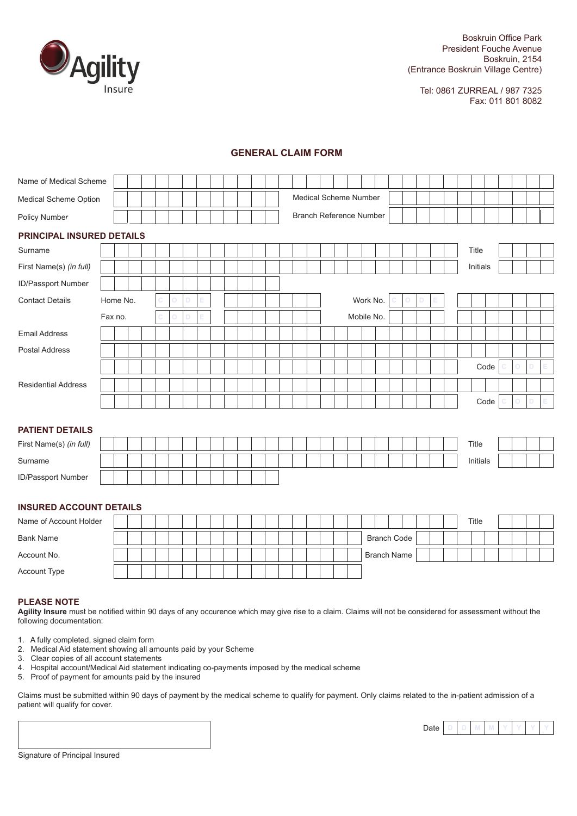

Tel: 0861 ZURREAL / 987 7325 Fax: 011 801 8082

### **GENERAL CLAIM FORM**

| Name of Medical Scheme           |          |  |  |  |  |  |  |                                |  |                       |  |            |          |                    |   |   |   |  |          |  |   |   |   |
|----------------------------------|----------|--|--|--|--|--|--|--------------------------------|--|-----------------------|--|------------|----------|--------------------|---|---|---|--|----------|--|---|---|---|
| Medical Scheme Option            |          |  |  |  |  |  |  |                                |  | Medical Scheme Number |  |            |          |                    |   |   |   |  |          |  |   |   |   |
| Policy Number                    |          |  |  |  |  |  |  | <b>Branch Reference Number</b> |  |                       |  |            |          |                    |   |   |   |  |          |  |   |   |   |
| <b>PRINCIPAL INSURED DETAILS</b> |          |  |  |  |  |  |  |                                |  |                       |  |            |          |                    |   |   |   |  |          |  |   |   |   |
| Surname                          |          |  |  |  |  |  |  |                                |  |                       |  |            |          |                    |   |   |   |  | Title    |  |   |   |   |
| First Name(s) (in full)          |          |  |  |  |  |  |  |                                |  |                       |  |            |          |                    |   |   |   |  | Initials |  |   |   |   |
| ID/Passport Number               |          |  |  |  |  |  |  |                                |  |                       |  |            |          |                    |   |   |   |  |          |  |   |   |   |
| <b>Contact Details</b>           | Home No. |  |  |  |  |  |  |                                |  |                       |  |            | Work No. |                    | O | D | Ε |  |          |  |   |   |   |
|                                  | Fax no.  |  |  |  |  |  |  |                                |  |                       |  | Mobile No. |          |                    |   |   |   |  |          |  |   |   |   |
| <b>Email Address</b>             |          |  |  |  |  |  |  |                                |  |                       |  |            |          |                    |   |   |   |  |          |  |   |   |   |
| <b>Postal Address</b>            |          |  |  |  |  |  |  |                                |  |                       |  |            |          |                    |   |   |   |  |          |  |   |   |   |
|                                  |          |  |  |  |  |  |  |                                |  |                       |  |            |          |                    |   |   |   |  | Code     |  | O | D | Е |
| <b>Residential Address</b>       |          |  |  |  |  |  |  |                                |  |                       |  |            |          |                    |   |   |   |  |          |  |   |   |   |
|                                  |          |  |  |  |  |  |  |                                |  |                       |  |            |          |                    |   |   |   |  | Code     |  | O | D | Е |
|                                  |          |  |  |  |  |  |  |                                |  |                       |  |            |          |                    |   |   |   |  |          |  |   |   |   |
| <b>PATIENT DETAILS</b>           |          |  |  |  |  |  |  |                                |  |                       |  |            |          |                    |   |   |   |  |          |  |   |   |   |
| First Name(s) (in full)          |          |  |  |  |  |  |  |                                |  |                       |  |            |          |                    |   |   |   |  | Title    |  |   |   |   |
| Surname                          |          |  |  |  |  |  |  |                                |  |                       |  |            |          |                    |   |   |   |  | Initials |  |   |   |   |
| ID/Passport Number               |          |  |  |  |  |  |  |                                |  |                       |  |            |          |                    |   |   |   |  |          |  |   |   |   |
|                                  |          |  |  |  |  |  |  |                                |  |                       |  |            |          |                    |   |   |   |  |          |  |   |   |   |
| <b>INSURED ACCOUNT DETAILS</b>   |          |  |  |  |  |  |  |                                |  |                       |  |            |          |                    |   |   |   |  |          |  |   |   |   |
| Name of Account Holder           |          |  |  |  |  |  |  |                                |  |                       |  |            |          |                    |   |   |   |  | Title    |  |   |   |   |
| <b>Bank Name</b>                 |          |  |  |  |  |  |  |                                |  |                       |  |            |          | <b>Branch Code</b> |   |   |   |  |          |  |   |   |   |
| Account No.                      |          |  |  |  |  |  |  |                                |  |                       |  |            |          | <b>Branch Name</b> |   |   |   |  |          |  |   |   |   |
| Account Type                     |          |  |  |  |  |  |  |                                |  |                       |  |            |          |                    |   |   |   |  |          |  |   |   |   |

#### **PLEASE NOTE**

**Agility Insure** must be notified within 90 days of any occurence which may give rise to a claim. Claims will not be considered for assessment without the following documentation:

- 1. A fully completed, signed claim form
- 2. Medical Aid statement showing all amounts paid by your Scheme
- Clear copies of all account statements
- 4. Hospital account/Medical Aid statement indicating co-payments imposed by the medical scheme
- 5. Proof of payment for amounts paid by the insured

Claims must be submitted within 90 days of payment by the medical scheme to qualify for payment. Only claims related to the in-patient admission of a patient will qualify for cover.



Signature of Principal Insured